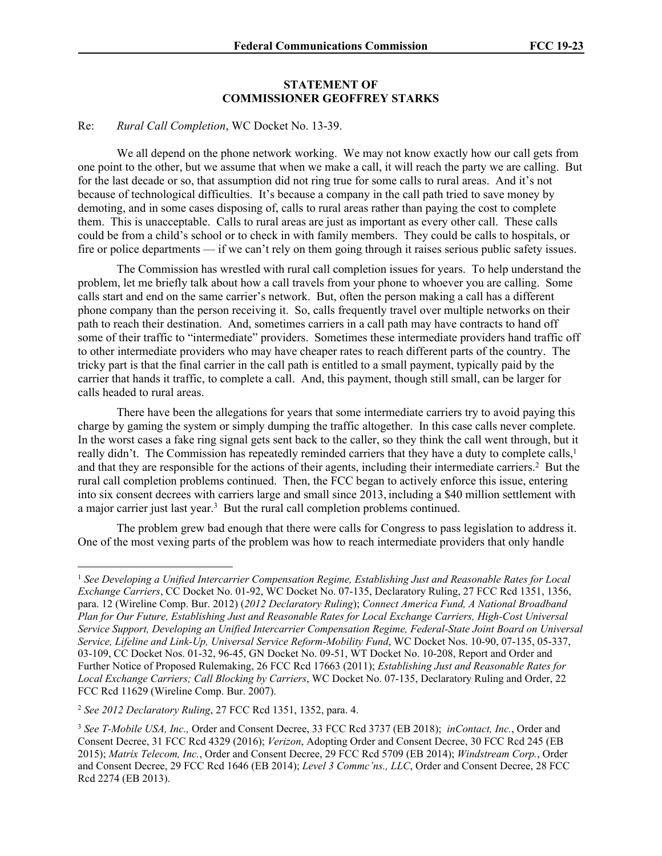## **STATEMENT OF COMMISSIONER GEOFFREY STARKS**

## Re: *Rural Call Completion*, WC Docket No. 13-39.

We all depend on the phone network working. We may not know exactly how our call gets from one point to the other, but we assume that when we make a call, it will reach the party we are calling. But for the last decade or so, that assumption did not ring true for some calls to rural areas. And it's not because of technological difficulties. It's because a company in the call path tried to save money by demoting, and in some cases disposing of, calls to rural areas rather than paying the cost to complete them. This is unacceptable. Calls to rural areas are just as important as every other call. These calls could be from a child's school or to check in with family members. They could be calls to hospitals, or fire or police departments — if we can't rely on them going through it raises serious public safety issues.

The Commission has wrestled with rural call completion issues for years. To help understand the problem, let me briefly talk about how a call travels from your phone to whoever you are calling. Some calls start and end on the same carrier's network. But, often the person making a call has a different phone company than the person receiving it. So, calls frequently travel over multiple networks on their path to reach their destination. And, sometimes carriers in a call path may have contracts to hand off some of their traffic to "intermediate" providers. Sometimes these intermediate providers hand traffic off to other intermediate providers who may have cheaper rates to reach different parts of the country. The tricky part is that the final carrier in the call path is entitled to a small payment, typically paid by the carrier that hands it traffic, to complete a call. And, this payment, though still small, can be larger for calls headed to rural areas.

There have been the allegations for years that some intermediate carriers try to avoid paying this charge by gaming the system or simply dumping the traffic altogether. In this case calls never complete. In the worst cases a fake ring signal gets sent back to the caller, so they think the call went through, but it really didn't. The Commission has repeatedly reminded carriers that they have a duty to complete calls,<sup>1</sup> and that they are responsible for the actions of their agents, including their intermediate carriers.<sup>2</sup> But the rural call completion problems continued. Then, the FCC began to actively enforce this issue, entering into six consent decrees with carriers large and small since 2013, including a \$40 million settlement with a major carrier just last year.<sup>3</sup> But the rural call completion problems continued.

The problem grew bad enough that there were calls for Congress to pass legislation to address it. One of the most vexing parts of the problem was how to reach intermediate providers that only handle

<sup>&</sup>lt;sup>1</sup> See Developing a Unified Intercarrier Compensation Regime, Establishing Just and Reasonable Rates for Local *Exchange Carriers*, CC Docket No. 01-92, WC Docket No. 07-135, Declaratory Ruling, 27 FCC Rcd 1351, 1356, para. 12 (Wireline Comp. Bur. 2012) (*2012 Declaratory Ruling*); *Connect America Fund, A National Broadband Plan for Our Future, Establishing Just and Reasonable Rates for Local Exchange Carriers, High-Cost Universal Service Support, Developing an Unified Intercarrier Compensation Regime, Federal-State Joint Board on Universal Service, Lifeline and Link-Up, Universal Service Reform-Mobility Fund*, WC Docket Nos. 10-90, 07-135, 05-337, 03-109, CC Docket Nos. 01-32, 96-45, GN Docket No. 09-51, WT Docket No. 10-208, Report and Order and Further Notice of Proposed Rulemaking, 26 FCC Rcd 17663 (2011); *Establishing Just and Reasonable Rates for Local Exchange Carriers; Call Blocking by Carriers*, WC Docket No. 07-135, Declaratory Ruling and Order, 22 FCC Rcd 11629 (Wireline Comp. Bur. 2007).

<sup>2</sup> *See 2012 Declaratory Ruling*, 27 FCC Rcd 1351, 1352, para. 4.

<sup>3</sup> *See T-Mobile USA, Inc.,* Order and Consent Decree, 33 FCC Rcd 3737 (EB 2018); *inContact, Inc.*, Order and Consent Decree, 31 FCC Rcd 4329 (2016); *Verizon*, Adopting Order and Consent Decree, 30 FCC Rcd 245 (EB 2015); *Matrix Telecom, Inc.*, Order and Consent Decree, 29 FCC Rcd 5709 (EB 2014); *Windstream Corp.*, Order and Consent Decree, 29 FCC Rcd 1646 (EB 2014); *Level 3 Commc'ns., LLC*, Order and Consent Decree, 28 FCC Rcd 2274 (EB 2013).